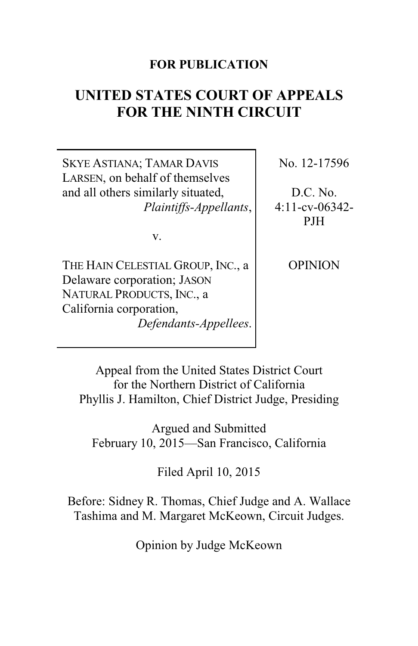## **FOR PUBLICATION**

# **UNITED STATES COURT OF APPEALS FOR THE NINTH CIRCUIT**

SKYE ASTIANA; TAMAR DAVIS LARSEN, on behalf of themselves and all others similarly situated, *Plaintiffs-Appellants*,

v.

THE HAIN CELESTIAL GROUP, INC., a Delaware corporation; JASON NATURAL PRODUCTS, INC., a California corporation, *Defendants-Appellees*. No. 12-17596

D.C. No. 4:11-cv-06342- PJH

**OPINION** 

Appeal from the United States District Court for the Northern District of California Phyllis J. Hamilton, Chief District Judge, Presiding

Argued and Submitted February 10, 2015—San Francisco, California

Filed April 10, 2015

Before: Sidney R. Thomas, Chief Judge and A. Wallace Tashima and M. Margaret McKeown, Circuit Judges.

Opinion by Judge McKeown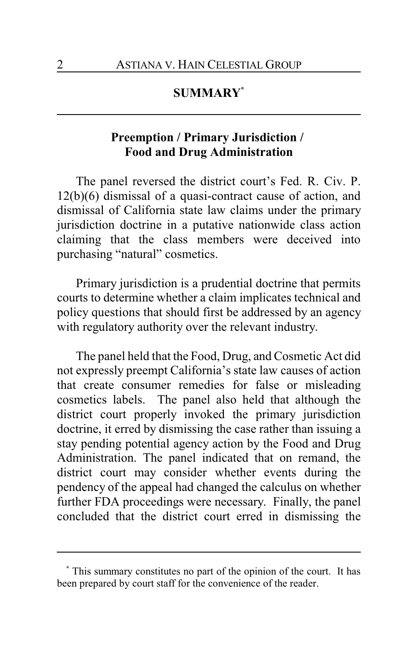## **SUMMARY\***

## **Preemption / Primary Jurisdiction / Food and Drug Administration**

The panel reversed the district court's Fed. R. Civ. P. 12(b)(6) dismissal of a quasi-contract cause of action, and dismissal of California state law claims under the primary jurisdiction doctrine in a putative nationwide class action claiming that the class members were deceived into purchasing "natural" cosmetics.

Primary jurisdiction is a prudential doctrine that permits courts to determine whether a claim implicates technical and policy questions that should first be addressed by an agency with regulatory authority over the relevant industry.

The panel held that the Food, Drug, and Cosmetic Act did not expressly preempt California's state law causes of action that create consumer remedies for false or misleading cosmetics labels. The panel also held that although the district court properly invoked the primary jurisdiction doctrine, it erred by dismissing the case rather than issuing a stay pending potential agency action by the Food and Drug Administration. The panel indicated that on remand, the district court may consider whether events during the pendency of the appeal had changed the calculus on whether further FDA proceedings were necessary. Finally, the panel concluded that the district court erred in dismissing the

**<sup>\*</sup>** This summary constitutes no part of the opinion of the court. It has been prepared by court staff for the convenience of the reader.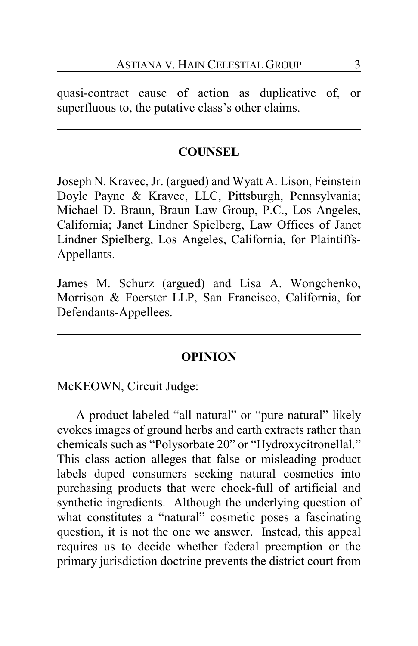quasi-contract cause of action as duplicative of, or superfluous to, the putative class's other claims.

## **COUNSEL**

Joseph N. Kravec, Jr. (argued) and Wyatt A. Lison, Feinstein Doyle Payne & Kravec, LLC, Pittsburgh, Pennsylvania; Michael D. Braun, Braun Law Group, P.C., Los Angeles, California; Janet Lindner Spielberg, Law Offices of Janet Lindner Spielberg, Los Angeles, California, for Plaintiffs-Appellants.

James M. Schurz (argued) and Lisa A. Wongchenko, Morrison & Foerster LLP, San Francisco, California, for Defendants-Appellees.

#### **OPINION**

McKEOWN, Circuit Judge:

A product labeled "all natural" or "pure natural" likely evokes images of ground herbs and earth extracts rather than chemicals such as "Polysorbate 20" or "Hydroxycitronellal." This class action alleges that false or misleading product labels duped consumers seeking natural cosmetics into purchasing products that were chock-full of artificial and synthetic ingredients. Although the underlying question of what constitutes a "natural" cosmetic poses a fascinating question, it is not the one we answer. Instead, this appeal requires us to decide whether federal preemption or the primary jurisdiction doctrine prevents the district court from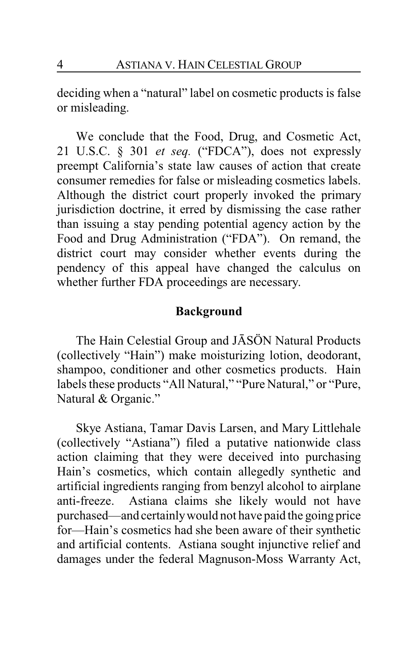deciding when a "natural" label on cosmetic products is false or misleading.

We conclude that the Food, Drug, and Cosmetic Act, 21 U.S.C. § 301 *et seq.* ("FDCA"), does not expressly preempt California's state law causes of action that create consumer remedies for false or misleading cosmetics labels. Although the district court properly invoked the primary jurisdiction doctrine, it erred by dismissing the case rather than issuing a stay pending potential agency action by the Food and Drug Administration ("FDA"). On remand, the district court may consider whether events during the pendency of this appeal have changed the calculus on whether further FDA proceedings are necessary.

## **Background**

The Hain Celestial Group and JÂSÖN Natural Products (collectively "Hain") make moisturizing lotion, deodorant, shampoo, conditioner and other cosmetics products. Hain labels these products "All Natural," "Pure Natural," or "Pure, Natural & Organic."

Skye Astiana, Tamar Davis Larsen, and Mary Littlehale (collectively "Astiana") filed a putative nationwide class action claiming that they were deceived into purchasing Hain's cosmetics, which contain allegedly synthetic and artificial ingredients ranging from benzyl alcohol to airplane anti-freeze. Astiana claims she likely would not have purchased—and certainlywould not have paid the going price for—Hain's cosmetics had she been aware of their synthetic and artificial contents. Astiana sought injunctive relief and damages under the federal Magnuson-Moss Warranty Act,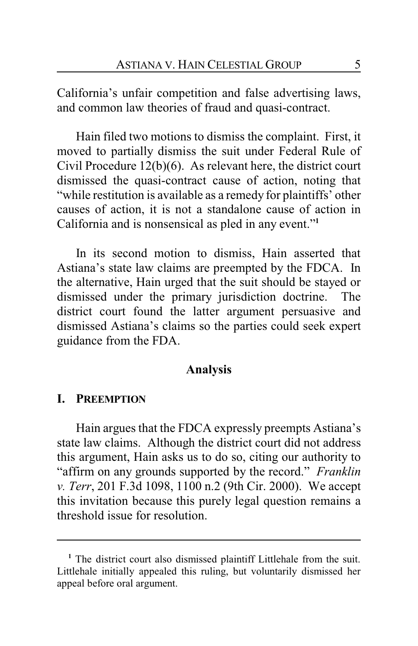California's unfair competition and false advertising laws, and common law theories of fraud and quasi-contract.

Hain filed two motions to dismiss the complaint. First, it moved to partially dismiss the suit under Federal Rule of Civil Procedure 12(b)(6). As relevant here, the district court dismissed the quasi-contract cause of action, noting that "while restitution is available as a remedy for plaintiffs' other causes of action, it is not a standalone cause of action in California and is nonsensical as pled in any event."**<sup>1</sup>**

In its second motion to dismiss, Hain asserted that Astiana's state law claims are preempted by the FDCA. In the alternative, Hain urged that the suit should be stayed or dismissed under the primary jurisdiction doctrine. The district court found the latter argument persuasive and dismissed Astiana's claims so the parties could seek expert guidance from the FDA.

#### **Analysis**

### **I. PREEMPTION**

Hain argues that the FDCA expressly preempts Astiana's state law claims. Although the district court did not address this argument, Hain asks us to do so, citing our authority to "affirm on any grounds supported by the record." *Franklin v. Terr*, 201 F.3d 1098, 1100 n.2 (9th Cir. 2000). We accept this invitation because this purely legal question remains a threshold issue for resolution.

**<sup>1</sup>** The district court also dismissed plaintiff Littlehale from the suit. Littlehale initially appealed this ruling, but voluntarily dismissed her appeal before oral argument.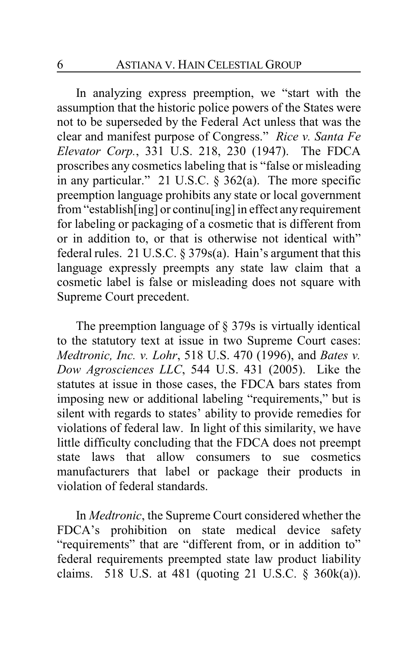In analyzing express preemption, we "start with the assumption that the historic police powers of the States were not to be superseded by the Federal Act unless that was the clear and manifest purpose of Congress." *Rice v. Santa Fe Elevator Corp.*, 331 U.S. 218, 230 (1947). The FDCA proscribes any cosmetics labeling that is "false or misleading in any particular." 21 U.S.C.  $\frac{2}{9}$  362(a). The more specific preemption language prohibits any state or local government from "establish[ing] or continu[ing] in effect any requirement for labeling or packaging of a cosmetic that is different from or in addition to, or that is otherwise not identical with" federal rules. 21 U.S.C. § 379s(a). Hain's argument that this language expressly preempts any state law claim that a cosmetic label is false or misleading does not square with Supreme Court precedent.

The preemption language of § 379s is virtually identical to the statutory text at issue in two Supreme Court cases: *Medtronic, Inc. v. Lohr*, 518 U.S. 470 (1996), and *Bates v. Dow Agrosciences LLC*, 544 U.S. 431 (2005). Like the statutes at issue in those cases, the FDCA bars states from imposing new or additional labeling "requirements," but is silent with regards to states' ability to provide remedies for violations of federal law. In light of this similarity, we have little difficulty concluding that the FDCA does not preempt state laws that allow consumers to sue cosmetics manufacturers that label or package their products in violation of federal standards.

In *Medtronic*, the Supreme Court considered whether the FDCA's prohibition on state medical device safety "requirements" that are "different from, or in addition to" federal requirements preempted state law product liability claims. 518 U.S. at 481 (quoting 21 U.S.C.  $\S$  360k(a)).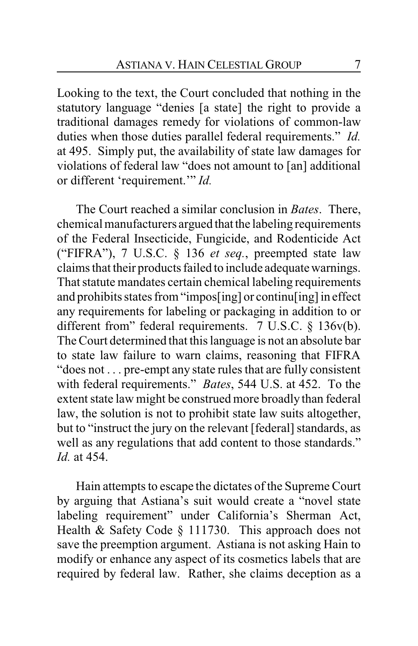Looking to the text, the Court concluded that nothing in the statutory language "denies [a state] the right to provide a traditional damages remedy for violations of common-law duties when those duties parallel federal requirements." *Id.* at 495. Simply put, the availability of state law damages for violations of federal law "does not amount to [an] additional or different 'requirement.'" *Id.*

The Court reached a similar conclusion in *Bates*. There, chemical manufacturers argued that the labeling requirements of the Federal Insecticide, Fungicide, and Rodenticide Act ("FIFRA"), 7 U.S.C. § 136 *et seq.*, preempted state law claims that their products failed to include adequate warnings. That statute mandates certain chemical labeling requirements and prohibits states from "impos[ing] or continu[ing] in effect any requirements for labeling or packaging in addition to or different from" federal requirements. 7 U.S.C. § 136v(b). The Court determined that this language is not an absolute bar to state law failure to warn claims, reasoning that FIFRA "does not . . . pre-empt any state rules that are fully consistent with federal requirements." *Bates*, 544 U.S. at 452. To the extent state law might be construed more broadly than federal law, the solution is not to prohibit state law suits altogether, but to "instruct the jury on the relevant [federal] standards, as well as any regulations that add content to those standards." *Id.* at 454.

Hain attempts to escape the dictates of the Supreme Court by arguing that Astiana's suit would create a "novel state labeling requirement" under California's Sherman Act, Health & Safety Code § 111730. This approach does not save the preemption argument. Astiana is not asking Hain to modify or enhance any aspect of its cosmetics labels that are required by federal law. Rather, she claims deception as a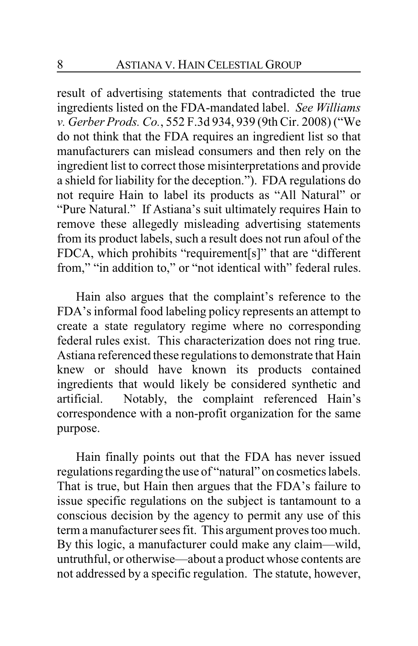result of advertising statements that contradicted the true ingredients listed on the FDA-mandated label. *See Williams v. Gerber Prods. Co.*, 552 F.3d 934, 939 (9th Cir. 2008) ("We do not think that the FDA requires an ingredient list so that manufacturers can mislead consumers and then rely on the ingredient list to correct those misinterpretations and provide a shield for liability for the deception."). FDA regulations do not require Hain to label its products as "All Natural" or "Pure Natural." If Astiana's suit ultimately requires Hain to remove these allegedly misleading advertising statements from its product labels, such a result does not run afoul of the FDCA, which prohibits "requirement[s]" that are "different from," "in addition to," or "not identical with" federal rules.

Hain also argues that the complaint's reference to the FDA's informal food labeling policy represents an attempt to create a state regulatory regime where no corresponding federal rules exist. This characterization does not ring true. Astiana referenced these regulations to demonstrate that Hain knew or should have known its products contained ingredients that would likely be considered synthetic and artificial. Notably, the complaint referenced Hain's correspondence with a non-profit organization for the same purpose.

Hain finally points out that the FDA has never issued regulations regarding the use of "natural" on cosmetics labels. That is true, but Hain then argues that the FDA's failure to issue specific regulations on the subject is tantamount to a conscious decision by the agency to permit any use of this term a manufacturer sees fit. This argument proves too much. By this logic, a manufacturer could make any claim—wild, untruthful, or otherwise—about a product whose contents are not addressed by a specific regulation. The statute, however,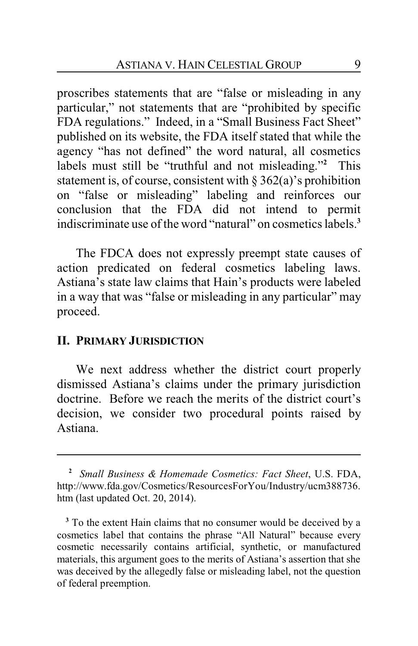proscribes statements that are "false or misleading in any particular," not statements that are "prohibited by specific FDA regulations." Indeed, in a "Small Business Fact Sheet" published on its website, the FDA itself stated that while the agency "has not defined" the word natural, all cosmetics labels must still be "truthful and not misleading."**<sup>2</sup>** This statement is, of course, consistent with § 362(a)'s prohibition on "false or misleading" labeling and reinforces our conclusion that the FDA did not intend to permit indiscriminate use of the word "natural" on cosmetics labels.**<sup>3</sup>**

The FDCA does not expressly preempt state causes of action predicated on federal cosmetics labeling laws. Astiana's state law claims that Hain's products were labeled in a way that was "false or misleading in any particular" may proceed.

## **II. PRIMARY JURISDICTION**

We next address whether the district court properly dismissed Astiana's claims under the primary jurisdiction doctrine. Before we reach the merits of the district court's decision, we consider two procedural points raised by Astiana.

**<sup>2</sup>** *Small Business & Homemade Cosmetics: Fact Sheet*, U.S. FDA, http://www.fda.gov/Cosmetics/ResourcesForYou/Industry/ucm388736. htm (last updated Oct. 20, 2014).

**<sup>3</sup>** To the extent Hain claims that no consumer would be deceived by a cosmetics label that contains the phrase "All Natural" because every cosmetic necessarily contains artificial, synthetic, or manufactured materials, this argument goes to the merits of Astiana's assertion that she was deceived by the allegedly false or misleading label, not the question of federal preemption.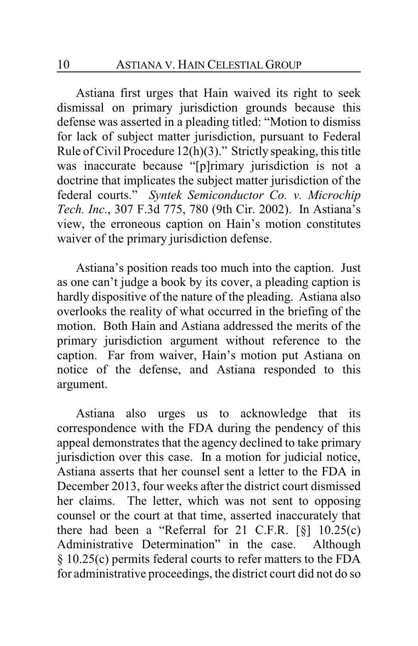Astiana first urges that Hain waived its right to seek dismissal on primary jurisdiction grounds because this defense was asserted in a pleading titled: "Motion to dismiss for lack of subject matter jurisdiction, pursuant to Federal Rule of Civil Procedure  $12(h)(3)$ ." Strictly speaking, this title was inaccurate because "[p]rimary jurisdiction is not a doctrine that implicates the subject matter jurisdiction of the federal courts." *Syntek Semiconductor Co. v. Microchip Tech. Inc.*, 307 F.3d 775, 780 (9th Cir. 2002). In Astiana's view, the erroneous caption on Hain's motion constitutes waiver of the primary jurisdiction defense.

Astiana's position reads too much into the caption. Just as one can't judge a book by its cover, a pleading caption is hardly dispositive of the nature of the pleading. Astiana also overlooks the reality of what occurred in the briefing of the motion. Both Hain and Astiana addressed the merits of the primary jurisdiction argument without reference to the caption. Far from waiver, Hain's motion put Astiana on notice of the defense, and Astiana responded to this argument.

Astiana also urges us to acknowledge that its correspondence with the FDA during the pendency of this appeal demonstrates that the agency declined to take primary jurisdiction over this case. In a motion for judicial notice, Astiana asserts that her counsel sent a letter to the FDA in December 2013, four weeks after the district court dismissed her claims. The letter, which was not sent to opposing counsel or the court at that time, asserted inaccurately that there had been a "Referral for 21 C.F.R.  $\lceil \S \rceil$  10.25(c) Administrative Determination" in the case. Although § 10.25(c) permits federal courts to refer matters to the FDA for administrative proceedings, the district court did not do so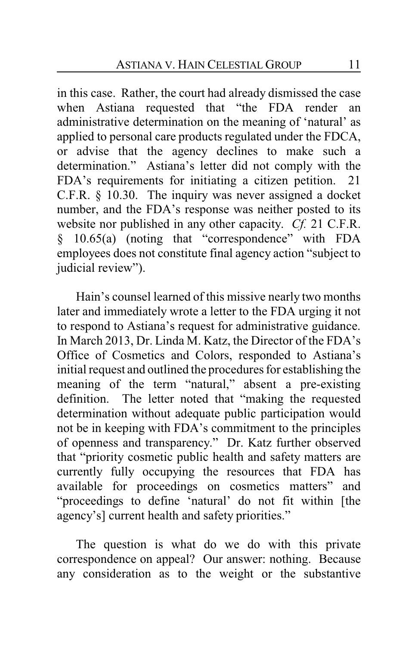in this case. Rather, the court had already dismissed the case when Astiana requested that "the FDA render an administrative determination on the meaning of 'natural' as applied to personal care products regulated under the FDCA, or advise that the agency declines to make such a determination." Astiana's letter did not comply with the FDA's requirements for initiating a citizen petition. 21 C.F.R. § 10.30. The inquiry was never assigned a docket number, and the FDA's response was neither posted to its website nor published in any other capacity. *Cf.* 21 C.F.R. § 10.65(a) (noting that "correspondence" with FDA employees does not constitute final agency action "subject to judicial review").

Hain's counsel learned of this missive nearly two months later and immediately wrote a letter to the FDA urging it not to respond to Astiana's request for administrative guidance. In March 2013, Dr. Linda M. Katz, the Director of the FDA's Office of Cosmetics and Colors, responded to Astiana's initial request and outlined the procedures for establishing the meaning of the term "natural," absent a pre-existing definition. The letter noted that "making the requested determination without adequate public participation would not be in keeping with FDA's commitment to the principles of openness and transparency." Dr. Katz further observed that "priority cosmetic public health and safety matters are currently fully occupying the resources that FDA has available for proceedings on cosmetics matters" and "proceedings to define 'natural' do not fit within [the agency's] current health and safety priorities."

The question is what do we do with this private correspondence on appeal? Our answer: nothing. Because any consideration as to the weight or the substantive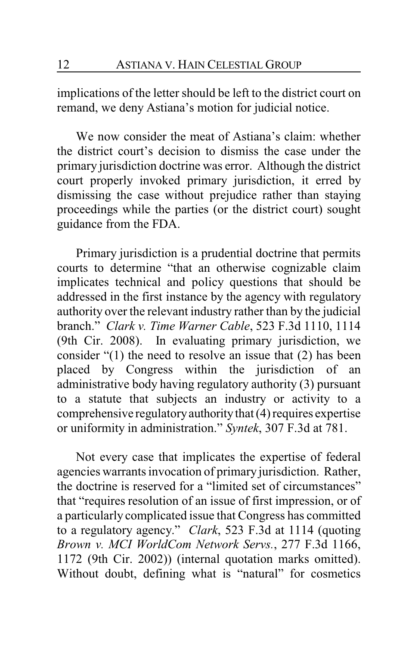implications of the letter should be left to the district court on remand, we deny Astiana's motion for judicial notice.

We now consider the meat of Astiana's claim: whether the district court's decision to dismiss the case under the primary jurisdiction doctrine was error. Although the district court properly invoked primary jurisdiction, it erred by dismissing the case without prejudice rather than staying proceedings while the parties (or the district court) sought guidance from the FDA.

Primary jurisdiction is a prudential doctrine that permits courts to determine "that an otherwise cognizable claim implicates technical and policy questions that should be addressed in the first instance by the agency with regulatory authority over the relevant industry rather than by the judicial branch." *Clark v. Time Warner Cable*, 523 F.3d 1110, 1114 (9th Cir. 2008). In evaluating primary jurisdiction, we consider "(1) the need to resolve an issue that (2) has been placed by Congress within the jurisdiction of an administrative body having regulatory authority (3) pursuant to a statute that subjects an industry or activity to a comprehensive regulatoryauthoritythat (4) requires expertise or uniformity in administration." *Syntek*, 307 F.3d at 781.

Not every case that implicates the expertise of federal agencies warrants invocation of primary jurisdiction. Rather, the doctrine is reserved for a "limited set of circumstances" that "requires resolution of an issue of first impression, or of a particularly complicated issue that Congress has committed to a regulatory agency." *Clark*, 523 F.3d at 1114 (quoting *Brown v. MCI WorldCom Network Servs.*, 277 F.3d 1166, 1172 (9th Cir. 2002)) (internal quotation marks omitted). Without doubt, defining what is "natural" for cosmetics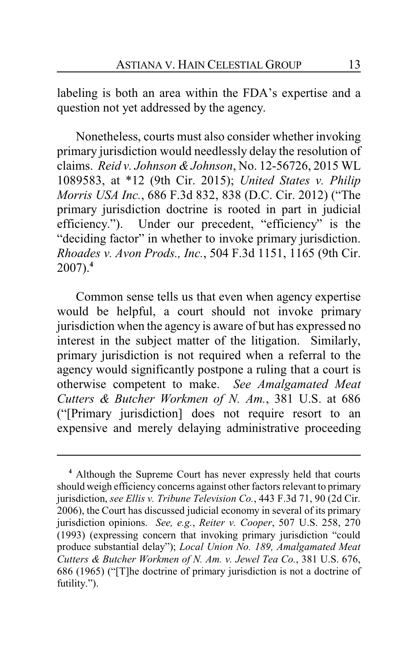labeling is both an area within the FDA's expertise and a question not yet addressed by the agency.

Nonetheless, courts must also consider whether invoking primary jurisdiction would needlessly delay the resolution of claims. *Reid v. Johnson &Johnson*, No. 12-56726, 2015 WL 1089583, at \*12 (9th Cir. 2015); *United States v. Philip Morris USA Inc.*, 686 F.3d 832, 838 (D.C. Cir. 2012) ("The primary jurisdiction doctrine is rooted in part in judicial efficiency."). Under our precedent, "efficiency" is the "deciding factor" in whether to invoke primary jurisdiction. *Rhoades v. Avon Prods., Inc.*, 504 F.3d 1151, 1165 (9th Cir. 2007).**<sup>4</sup>**

Common sense tells us that even when agency expertise would be helpful, a court should not invoke primary jurisdiction when the agency is aware of but has expressed no interest in the subject matter of the litigation. Similarly, primary jurisdiction is not required when a referral to the agency would significantly postpone a ruling that a court is otherwise competent to make. *See Amalgamated Meat Cutters & Butcher Workmen of N. Am.*, 381 U.S. at 686 ("[Primary jurisdiction] does not require resort to an expensive and merely delaying administrative proceeding

**<sup>4</sup>** Although the Supreme Court has never expressly held that courts should weigh efficiency concerns against other factors relevant to primary jurisdiction, *see Ellis v. Tribune Television Co.*, 443 F.3d 71, 90 (2d Cir. 2006), the Court has discussed judicial economy in several of its primary jurisdiction opinions. *See, e.g.*, *Reiter v. Cooper*, 507 U.S. 258, 270 (1993) (expressing concern that invoking primary jurisdiction "could produce substantial delay"); *Local Union No. 189, Amalgamated Meat Cutters & Butcher Workmen of N. Am. v. Jewel Tea Co.*, 381 U.S. 676, 686 (1965) ("[T]he doctrine of primary jurisdiction is not a doctrine of futility.").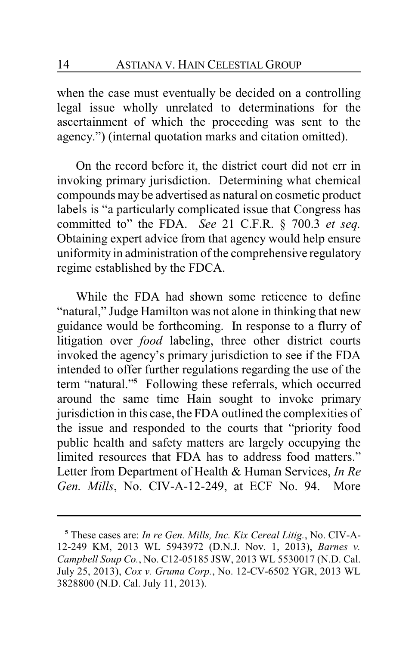when the case must eventually be decided on a controlling legal issue wholly unrelated to determinations for the ascertainment of which the proceeding was sent to the agency.") (internal quotation marks and citation omitted).

On the record before it, the district court did not err in invoking primary jurisdiction. Determining what chemical compounds may be advertised as natural on cosmetic product labels is "a particularly complicated issue that Congress has committed to" the FDA. *See* 21 C.F.R. § 700.3 *et seq.* Obtaining expert advice from that agency would help ensure uniformity in administration of the comprehensive regulatory regime established by the FDCA.

While the FDA had shown some reticence to define "natural," Judge Hamilton was not alone in thinking that new guidance would be forthcoming. In response to a flurry of litigation over *food* labeling, three other district courts invoked the agency's primary jurisdiction to see if the FDA intended to offer further regulations regarding the use of the term "natural."**<sup>5</sup>** Following these referrals, which occurred around the same time Hain sought to invoke primary jurisdiction in this case, the FDA outlined the complexities of the issue and responded to the courts that "priority food public health and safety matters are largely occupying the limited resources that FDA has to address food matters." Letter from Department of Health & Human Services, *In Re Gen. Mills*, No. CIV-A-12-249, at ECF No. 94. More

**<sup>5</sup>** These cases are: *In re Gen. Mills, Inc. Kix Cereal Litig.*, No. CIV-A-12-249 KM, 2013 WL 5943972 (D.N.J. Nov. 1, 2013), *Barnes v. Campbell Soup Co.*, No. C12-05185 JSW, 2013 WL 5530017 (N.D. Cal. July 25, 2013), *Cox v. Gruma Corp.*, No. 12-CV-6502 YGR, 2013 WL 3828800 (N.D. Cal. July 11, 2013).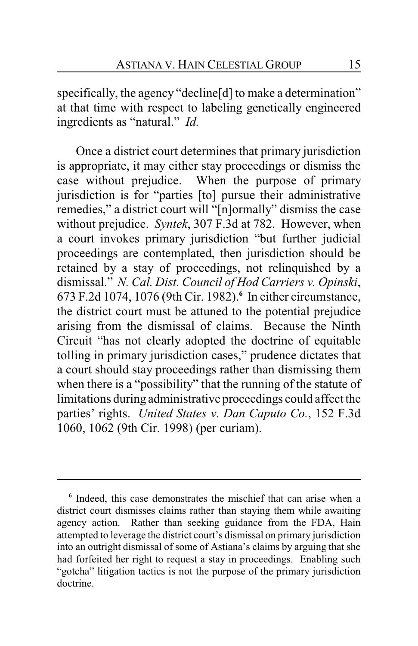specifically, the agency "decline[d] to make a determination" at that time with respect to labeling genetically engineered ingredients as "natural." *Id.*

Once a district court determines that primary jurisdiction is appropriate, it may either stay proceedings or dismiss the case without prejudice. When the purpose of primary jurisdiction is for "parties [to] pursue their administrative remedies," a district court will "[n]ormally" dismiss the case without prejudice. *Syntek*, 307 F.3d at 782. However, when a court invokes primary jurisdiction "but further judicial proceedings are contemplated, then jurisdiction should be retained by a stay of proceedings, not relinquished by a dismissal." *N. Cal. Dist. Council of Hod Carriers v. Opinski*, 673 F.2d 1074, 1076 (9th Cir. 1982).**<sup>6</sup>** In either circumstance, the district court must be attuned to the potential prejudice arising from the dismissal of claims. Because the Ninth Circuit "has not clearly adopted the doctrine of equitable tolling in primary jurisdiction cases," prudence dictates that a court should stay proceedings rather than dismissing them when there is a "possibility" that the running of the statute of limitations during administrative proceedings could affect the parties' rights. *United States v. Dan Caputo Co.*, 152 F.3d 1060, 1062 (9th Cir. 1998) (per curiam).

**<sup>6</sup>** Indeed, this case demonstrates the mischief that can arise when a district court dismisses claims rather than staying them while awaiting agency action. Rather than seeking guidance from the FDA, Hain attempted to leverage the district court's dismissal on primary jurisdiction into an outright dismissal of some of Astiana's claims by arguing that she had forfeited her right to request a stay in proceedings. Enabling such "gotcha" litigation tactics is not the purpose of the primary jurisdiction doctrine.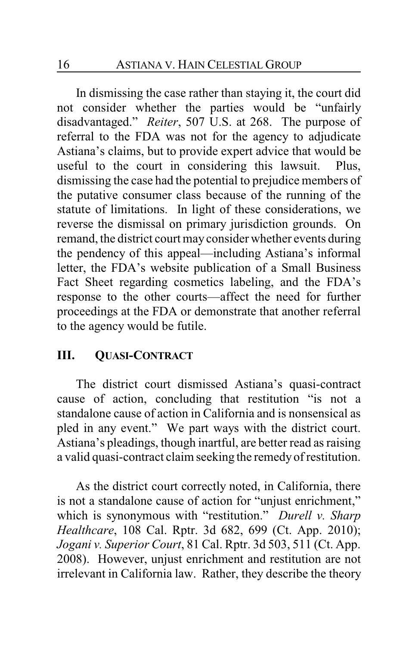In dismissing the case rather than staying it, the court did not consider whether the parties would be "unfairly disadvantaged." *Reiter*, 507 U.S. at 268. The purpose of referral to the FDA was not for the agency to adjudicate Astiana's claims, but to provide expert advice that would be useful to the court in considering this lawsuit. Plus, dismissing the case had the potential to prejudice members of the putative consumer class because of the running of the statute of limitations. In light of these considerations, we reverse the dismissal on primary jurisdiction grounds. On remand, the district court may consider whether events during the pendency of this appeal—including Astiana's informal letter, the FDA's website publication of a Small Business Fact Sheet regarding cosmetics labeling, and the FDA's response to the other courts—affect the need for further proceedings at the FDA or demonstrate that another referral to the agency would be futile.

# **III. QUASI-CONTRACT**

The district court dismissed Astiana's quasi-contract cause of action, concluding that restitution "is not a standalone cause of action in California and is nonsensical as pled in any event." We part ways with the district court. Astiana's pleadings, though inartful, are better read as raising a valid quasi-contract claim seeking the remedy of restitution.

As the district court correctly noted, in California, there is not a standalone cause of action for "unjust enrichment," which is synonymous with "restitution." *Durell v. Sharp Healthcare*, 108 Cal. Rptr. 3d 682, 699 (Ct. App. 2010); *Jogani v. Superior Court*, 81 Cal. Rptr. 3d 503, 511 (Ct. App. 2008). However, unjust enrichment and restitution are not irrelevant in California law. Rather, they describe the theory